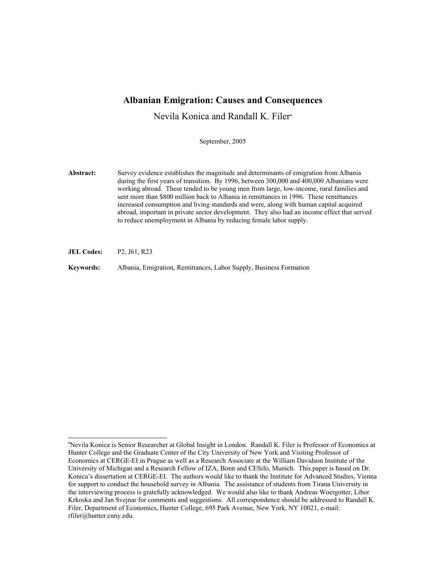# **Albanian Emigration: Causes and Consequences**

Nevila Konica and Randall K. Filera

September, 2005

**Abstract:** Survey evidence establishes the magnitude and determinants of emigration from Albania during the first years of transition. By 1996, between 300,000 and 400,000 Albanians were working abroad. These tended to be young men from large, low-income, rural families and sent more than \$800 million back to Albania in remittances in 1996. These remittances increased consumption and living standards and were, along with human capital acquired abroad, important in private sector development. They also had an income effect that served to reduce unemployment in Albania by reducing female labor supply.

**JEL Codes:** P2, J61, R23

l

**Keywords:** Albania, Emigration, Remittances, Labor Supply, Business Formation

<sup>&</sup>lt;sup>a</sup>Nevila Konica is Senior Researcher at Global Insight in London. Randall K. Filer is Professor of Economics at Hunter College and the Graduate Center of the City University of New York and Visiting Professor of Economics at CERGE-EI in Prague as well as a Research Associate at the William Davidson Institute of the University of Michigan and a Research Fellow of IZA, Bonn and CESifo, Munich. This paper is based on Dr. Konica's dissertation at CERGE-EI. The authors would like to thank the Institute for Advanced Studies, Vienna for support to conduct the household survey in Albania. The assistance of students from Tirana University in the interviewing process is gratefully acknowledged. We would also like to thank Andreas Woergotter, Libor Krkoska and Jan Svejnar for comments and suggestions. All correspondence should be addressed to Randall K. Filer, Department of Economics, Hunter College, 695 Park Avenue, New York, NY 10021, e-mail: rfiler@hunter.cuny.edu.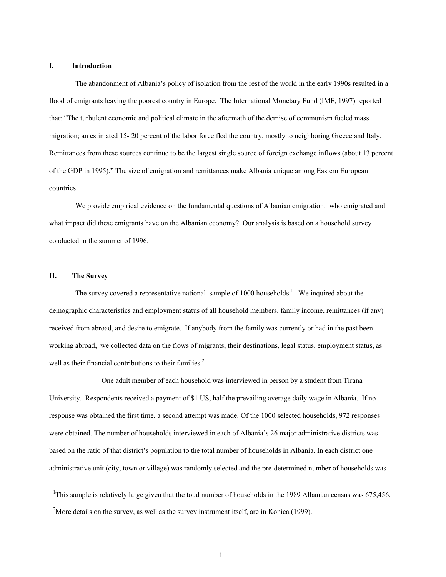### **I. Introduction**

The abandonment of Albania's policy of isolation from the rest of the world in the early 1990s resulted in a flood of emigrants leaving the poorest country in Europe. The International Monetary Fund (IMF, 1997) reported that: "The turbulent economic and political climate in the aftermath of the demise of communism fueled mass migration; an estimated 15- 20 percent of the labor force fled the country, mostly to neighboring Greece and Italy. Remittances from these sources continue to be the largest single source of foreign exchange inflows (about 13 percent of the GDP in 1995)." The size of emigration and remittances make Albania unique among Eastern European countries.

We provide empirical evidence on the fundamental questions of Albanian emigration: who emigrated and what impact did these emigrants have on the Albanian economy? Our analysis is based on a household survey conducted in the summer of 1996.

## **II. The Survey**

 $\overline{a}$ 

The survey covered a representative national sample of 1000 households.<sup>1</sup> We inquired about the demographic characteristics and employment status of all household members, family income, remittances (if any) received from abroad, and desire to emigrate. If anybody from the family was currently or had in the past been working abroad, we collected data on the flows of migrants, their destinations, legal status, employment status, as well as their financial contributions to their families.<sup>2</sup>

 One adult member of each household was interviewed in person by a student from Tirana University. Respondents received a payment of \$1 US, half the prevailing average daily wage in Albania. If no response was obtained the first time, a second attempt was made. Of the 1000 selected households, 972 responses were obtained. The number of households interviewed in each of Albania's 26 major administrative districts was based on the ratio of that district's population to the total number of households in Albania. In each district one administrative unit (city, town or village) was randomly selected and the pre-determined number of households was

<sup>&</sup>lt;sup>1</sup>This sample is relatively large given that the total number of households in the 1989 Albanian census was 675,456.

<sup>&</sup>lt;sup>2</sup>More details on the survey, as well as the survey instrument itself, are in Konica (1999).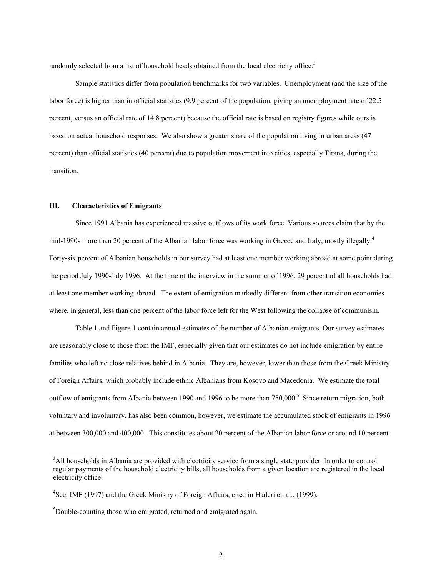randomly selected from a list of household heads obtained from the local electricity office.<sup>3</sup>

Sample statistics differ from population benchmarks for two variables. Unemployment (and the size of the labor force) is higher than in official statistics (9.9 percent of the population, giving an unemployment rate of 22.5 percent, versus an official rate of 14.8 percent) because the official rate is based on registry figures while ours is based on actual household responses. We also show a greater share of the population living in urban areas (47 percent) than official statistics (40 percent) due to population movement into cities, especially Tirana, during the transition.

#### **III. Characteristics of Emigrants**

 $\overline{a}$ 

Since 1991 Albania has experienced massive outflows of its work force. Various sources claim that by the mid-1990s more than 20 percent of the Albanian labor force was working in Greece and Italy, mostly illegally.<sup>4</sup> Forty-six percent of Albanian households in our survey had at least one member working abroad at some point during the period July 1990-July 1996. At the time of the interview in the summer of 1996, 29 percent of all households had at least one member working abroad. The extent of emigration markedly different from other transition economies where, in general, less than one percent of the labor force left for the West following the collapse of communism.

Table 1 and Figure 1 contain annual estimates of the number of Albanian emigrants. Our survey estimates are reasonably close to those from the IMF, especially given that our estimates do not include emigration by entire families who left no close relatives behind in Albania. They are, however, lower than those from the Greek Ministry of Foreign Affairs, which probably include ethnic Albanians from Kosovo and Macedonia. We estimate the total outflow of emigrants from Albania between 1990 and 1996 to be more than 750,000.<sup>5</sup> Since return migration, both voluntary and involuntary, has also been common, however, we estimate the accumulated stock of emigrants in 1996 at between 300,000 and 400,000. This constitutes about 20 percent of the Albanian labor force or around 10 percent

<sup>&</sup>lt;sup>3</sup>All households in Albania are provided with electricity service from a single state provider. In order to control regular payments of the household electricity bills, all households from a given location are registered in the local electricity office.

<sup>&</sup>lt;sup>4</sup>See, IMF (1997) and the Greek Ministry of Foreign Affairs, cited in Haderi et. al., (1999).

<sup>&</sup>lt;sup>5</sup>Double-counting those who emigrated, returned and emigrated again.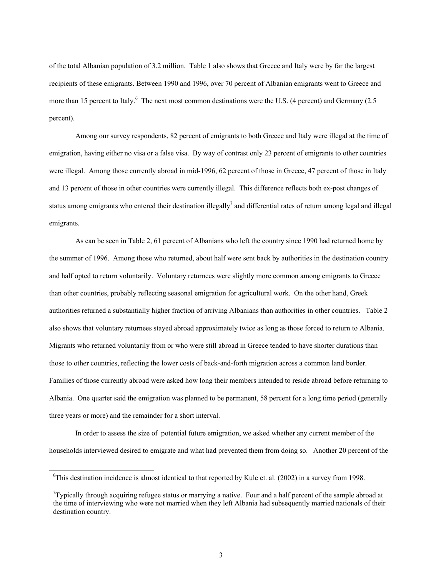of the total Albanian population of 3.2 million. Table 1 also shows that Greece and Italy were by far the largest recipients of these emigrants. Between 1990 and 1996, over 70 percent of Albanian emigrants went to Greece and more than 15 percent to Italy.<sup>6</sup> The next most common destinations were the U.S. (4 percent) and Germany (2.5 percent).

Among our survey respondents, 82 percent of emigrants to both Greece and Italy were illegal at the time of emigration, having either no visa or a false visa. By way of contrast only 23 percent of emigrants to other countries were illegal. Among those currently abroad in mid-1996, 62 percent of those in Greece, 47 percent of those in Italy and 13 percent of those in other countries were currently illegal. This difference reflects both ex-post changes of status among emigrants who entered their destination illegally<sup>7</sup> and differential rates of return among legal and illegal emigrants.

As can be seen in Table 2, 61 percent of Albanians who left the country since 1990 had returned home by the summer of 1996. Among those who returned, about half were sent back by authorities in the destination country and half opted to return voluntarily. Voluntary returnees were slightly more common among emigrants to Greece than other countries, probably reflecting seasonal emigration for agricultural work. On the other hand, Greek authorities returned a substantially higher fraction of arriving Albanians than authorities in other countries. Table 2 also shows that voluntary returnees stayed abroad approximately twice as long as those forced to return to Albania. Migrants who returned voluntarily from or who were still abroad in Greece tended to have shorter durations than those to other countries, reflecting the lower costs of back-and-forth migration across a common land border. Families of those currently abroad were asked how long their members intended to reside abroad before returning to Albania. One quarter said the emigration was planned to be permanent, 58 percent for a long time period (generally three years or more) and the remainder for a short interval.

In order to assess the size of potential future emigration, we asked whether any current member of the households interviewed desired to emigrate and what had prevented them from doing so. Another 20 percent of the

 $\overline{\phantom{a}}$ 

<sup>&</sup>lt;sup>6</sup>This destination incidence is almost identical to that reported by Kule et. al. (2002) in a survey from 1998.

 $7$ Typically through acquiring refugee status or marrying a native. Four and a half percent of the sample abroad at the time of interviewing who were not married when they left Albania had subsequently married nationals of their destination country.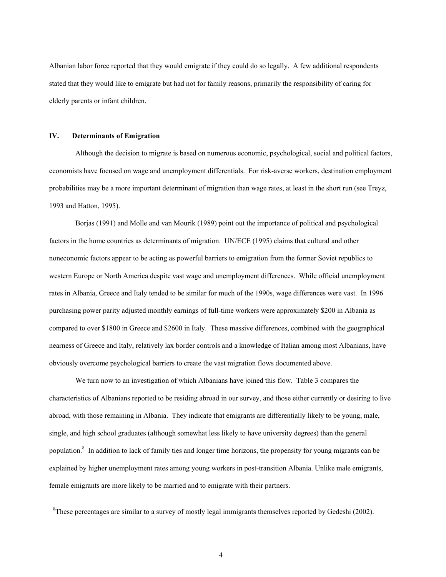Albanian labor force reported that they would emigrate if they could do so legally. A few additional respondents stated that they would like to emigrate but had not for family reasons, primarily the responsibility of caring for elderly parents or infant children.

## **IV. Determinants of Emigration**

 $\overline{\phantom{a}}$ 

Although the decision to migrate is based on numerous economic, psychological, social and political factors, economists have focused on wage and unemployment differentials. For risk-averse workers, destination employment probabilities may be a more important determinant of migration than wage rates, at least in the short run (see Treyz, 1993 and Hatton, 1995).

Borjas (1991) and Molle and van Mourik (1989) point out the importance of political and psychological factors in the home countries as determinants of migration. UN/ECE (1995) claims that cultural and other noneconomic factors appear to be acting as powerful barriers to emigration from the former Soviet republics to western Europe or North America despite vast wage and unemployment differences. While official unemployment rates in Albania, Greece and Italy tended to be similar for much of the 1990s, wage differences were vast. In 1996 purchasing power parity adjusted monthly earnings of full-time workers were approximately \$200 in Albania as compared to over \$1800 in Greece and \$2600 in Italy. These massive differences, combined with the geographical nearness of Greece and Italy, relatively lax border controls and a knowledge of Italian among most Albanians, have obviously overcome psychological barriers to create the vast migration flows documented above.

We turn now to an investigation of which Albanians have joined this flow. Table 3 compares the characteristics of Albanians reported to be residing abroad in our survey, and those either currently or desiring to live abroad, with those remaining in Albania. They indicate that emigrants are differentially likely to be young, male, single, and high school graduates (although somewhat less likely to have university degrees) than the general population.<sup>8</sup> In addition to lack of family ties and longer time horizons, the propensity for young migrants can be explained by higher unemployment rates among young workers in post-transition Albania. Unlike male emigrants, female emigrants are more likely to be married and to emigrate with their partners.

<sup>&</sup>lt;sup>8</sup>These percentages are similar to a survey of mostly legal immigrants themselves reported by Gedeshi (2002).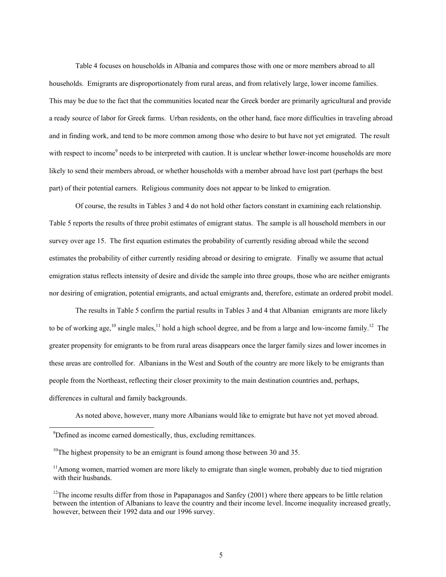Table 4 focuses on households in Albania and compares those with one or more members abroad to all households. Emigrants are disproportionately from rural areas, and from relatively large, lower income families. This may be due to the fact that the communities located near the Greek border are primarily agricultural and provide a ready source of labor for Greek farms. Urban residents, on the other hand, face more difficulties in traveling abroad and in finding work, and tend to be more common among those who desire to but have not yet emigrated. The result with respect to income<sup>9</sup> needs to be interpreted with caution. It is unclear whether lower-income households are more likely to send their members abroad, or whether households with a member abroad have lost part (perhaps the best part) of their potential earners. Religious community does not appear to be linked to emigration.

Of course, the results in Tables 3 and 4 do not hold other factors constant in examining each relationship. Table 5 reports the results of three probit estimates of emigrant status. The sample is all household members in our survey over age 15. The first equation estimates the probability of currently residing abroad while the second estimates the probability of either currently residing abroad or desiring to emigrate. Finally we assume that actual emigration status reflects intensity of desire and divide the sample into three groups, those who are neither emigrants nor desiring of emigration, potential emigrants, and actual emigrants and, therefore, estimate an ordered probit model.

The results in Table 5 confirm the partial results in Tables 3 and 4 that Albanian emigrants are more likely to be of working age,<sup>10</sup> single males,<sup>11</sup> hold a high school degree, and be from a large and low-income family.<sup>12</sup> The greater propensity for emigrants to be from rural areas disappears once the larger family sizes and lower incomes in these areas are controlled for. Albanians in the West and South of the country are more likely to be emigrants than people from the Northeast, reflecting their closer proximity to the main destination countries and, perhaps, differences in cultural and family backgrounds.

As noted above, however, many more Albanians would like to emigrate but have not yet moved abroad.

-

<sup>&</sup>lt;sup>9</sup>Defined as income earned domestically, thus, excluding remittances.

<sup>&</sup>lt;sup>10</sup>The highest propensity to be an emigrant is found among those between 30 and 35.

 $11$ Among women, married women are more likely to emigrate than single women, probably due to tied migration with their husbands.

<sup>&</sup>lt;sup>12</sup>The income results differ from those in Papapanagos and Sanfey (2001) where there appears to be little relation between the intention of Albanians to leave the country and their income level. Income inequality increased greatly, however, between their 1992 data and our 1996 survey.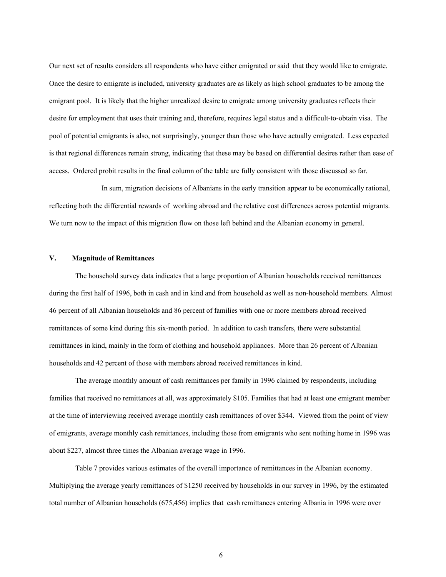Our next set of results considers all respondents who have either emigrated or said that they would like to emigrate. Once the desire to emigrate is included, university graduates are as likely as high school graduates to be among the emigrant pool. It is likely that the higher unrealized desire to emigrate among university graduates reflects their desire for employment that uses their training and, therefore, requires legal status and a difficult-to-obtain visa. The pool of potential emigrants is also, not surprisingly, younger than those who have actually emigrated. Less expected is that regional differences remain strong, indicating that these may be based on differential desires rather than ease of access. Ordered probit results in the final column of the table are fully consistent with those discussed so far.

 In sum, migration decisions of Albanians in the early transition appear to be economically rational, reflecting both the differential rewards of working abroad and the relative cost differences across potential migrants. We turn now to the impact of this migration flow on those left behind and the Albanian economy in general.

## **V. Magnitude of Remittances**

 The household survey data indicates that a large proportion of Albanian households received remittances during the first half of 1996, both in cash and in kind and from household as well as non-household members. Almost 46 percent of all Albanian households and 86 percent of families with one or more members abroad received remittances of some kind during this six-month period. In addition to cash transfers, there were substantial remittances in kind, mainly in the form of clothing and household appliances. More than 26 percent of Albanian households and 42 percent of those with members abroad received remittances in kind.

 The average monthly amount of cash remittances per family in 1996 claimed by respondents, including families that received no remittances at all, was approximately \$105. Families that had at least one emigrant member at the time of interviewing received average monthly cash remittances of over \$344. Viewed from the point of view of emigrants, average monthly cash remittances, including those from emigrants who sent nothing home in 1996 was about \$227, almost three times the Albanian average wage in 1996.

 Table 7 provides various estimates of the overall importance of remittances in the Albanian economy. Multiplying the average yearly remittances of \$1250 received by households in our survey in 1996, by the estimated total number of Albanian households (675,456) implies that cash remittances entering Albania in 1996 were over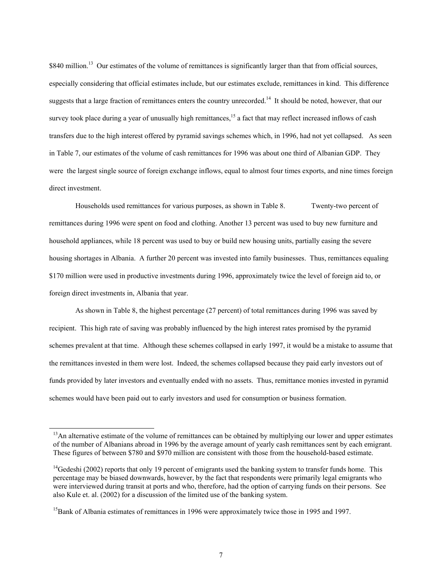\$840 million.<sup>13</sup> Our estimates of the volume of remittances is significantly larger than that from official sources, especially considering that official estimates include, but our estimates exclude, remittances in kind. This difference suggests that a large fraction of remittances enters the country unrecorded.<sup>14</sup> It should be noted, however, that our survey took place during a year of unusually high remittances,<sup>15</sup> a fact that may reflect increased inflows of cash transfers due to the high interest offered by pyramid savings schemes which, in 1996, had not yet collapsed. As seen in Table 7, our estimates of the volume of cash remittances for 1996 was about one third of Albanian GDP. They were the largest single source of foreign exchange inflows, equal to almost four times exports, and nine times foreign direct investment.

 Households used remittances for various purposes, as shown in Table 8. Twenty-two percent of remittances during 1996 were spent on food and clothing. Another 13 percent was used to buy new furniture and household appliances, while 18 percent was used to buy or build new housing units, partially easing the severe housing shortages in Albania. A further 20 percent was invested into family businesses. Thus, remittances equaling \$170 million were used in productive investments during 1996, approximately twice the level of foreign aid to, or foreign direct investments in, Albania that year.

 As shown in Table 8, the highest percentage (27 percent) of total remittances during 1996 was saved by recipient. This high rate of saving was probably influenced by the high interest rates promised by the pyramid schemes prevalent at that time. Although these schemes collapsed in early 1997, it would be a mistake to assume that the remittances invested in them were lost. Indeed, the schemes collapsed because they paid early investors out of funds provided by later investors and eventually ended with no assets. Thus, remittance monies invested in pyramid schemes would have been paid out to early investors and used for consumption or business formation.

-

 $<sup>13</sup>$ An alternative estimate of the volume of remittances can be obtained by multiplying our lower and upper estimates</sup> of the number of Albanians abroad in 1996 by the average amount of yearly cash remittances sent by each emigrant. These figures of between \$780 and \$970 million are consistent with those from the household-based estimate.

 $14$ Gedeshi (2002) reports that only 19 percent of emigrants used the banking system to transfer funds home. This percentage may be biased downwards, however, by the fact that respondents were primarily legal emigrants who were interviewed during transit at ports and who, therefore, had the option of carrying funds on their persons. See also Kule et. al. (2002) for a discussion of the limited use of the banking system.

<sup>&</sup>lt;sup>15</sup>Bank of Albania estimates of remittances in 1996 were approximately twice those in 1995 and 1997.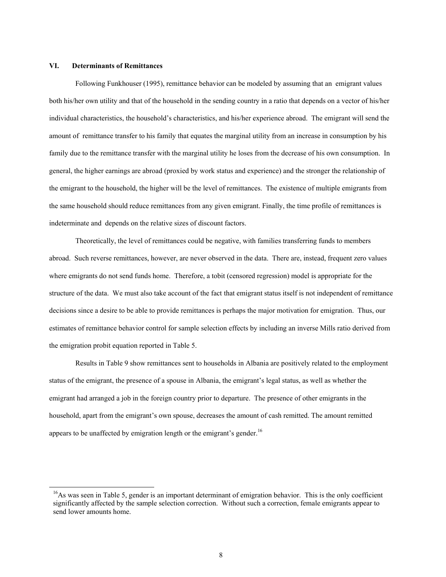### **VI. Determinants of Remittances**

-

 Following Funkhouser (1995), remittance behavior can be modeled by assuming that an emigrant values both his/her own utility and that of the household in the sending country in a ratio that depends on a vector of his/her individual characteristics, the household's characteristics, and his/her experience abroad. The emigrant will send the amount of remittance transfer to his family that equates the marginal utility from an increase in consumption by his family due to the remittance transfer with the marginal utility he loses from the decrease of his own consumption. In general, the higher earnings are abroad (proxied by work status and experience) and the stronger the relationship of the emigrant to the household, the higher will be the level of remittances. The existence of multiple emigrants from the same household should reduce remittances from any given emigrant. Finally, the time profile of remittances is indeterminate and depends on the relative sizes of discount factors.

 Theoretically, the level of remittances could be negative, with families transferring funds to members abroad. Such reverse remittances, however, are never observed in the data. There are, instead, frequent zero values where emigrants do not send funds home. Therefore, a tobit (censored regression) model is appropriate for the structure of the data. We must also take account of the fact that emigrant status itself is not independent of remittance decisions since a desire to be able to provide remittances is perhaps the major motivation for emigration. Thus, our estimates of remittance behavior control for sample selection effects by including an inverse Mills ratio derived from the emigration probit equation reported in Table 5.

 Results in Table 9 show remittances sent to households in Albania are positively related to the employment status of the emigrant, the presence of a spouse in Albania, the emigrant's legal status, as well as whether the emigrant had arranged a job in the foreign country prior to departure. The presence of other emigrants in the household, apart from the emigrant's own spouse, decreases the amount of cash remitted. The amount remitted appears to be unaffected by emigration length or the emigrant's gender.<sup>16</sup>

 $^{16}$ As was seen in Table 5, gender is an important determinant of emigration behavior. This is the only coefficient significantly affected by the sample selection correction. Without such a correction, female emigrants appear to send lower amounts home.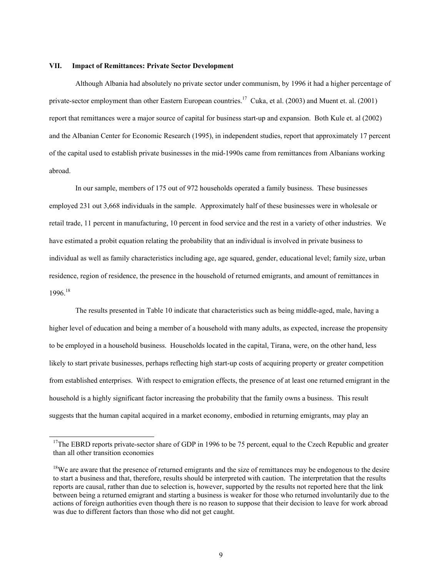#### **VII. Impact of Remittances: Private Sector Development**

 $\overline{a}$ 

 Although Albania had absolutely no private sector under communism, by 1996 it had a higher percentage of private-sector employment than other Eastern European countries.<sup>17</sup> Cuka, et al. (2003) and Muent et. al. (2001) report that remittances were a major source of capital for business start-up and expansion. Both Kule et. al (2002) and the Albanian Center for Economic Research (1995), in independent studies, report that approximately 17 percent of the capital used to establish private businesses in the mid-1990s came from remittances from Albanians working abroad.

 In our sample, members of 175 out of 972 households operated a family business. These businesses employed 231 out 3,668 individuals in the sample. Approximately half of these businesses were in wholesale or retail trade, 11 percent in manufacturing, 10 percent in food service and the rest in a variety of other industries. We have estimated a probit equation relating the probability that an individual is involved in private business to individual as well as family characteristics including age, age squared, gender, educational level; family size, urban residence, region of residence, the presence in the household of returned emigrants, and amount of remittances in 1996.18

 The results presented in Table 10 indicate that characteristics such as being middle-aged, male, having a higher level of education and being a member of a household with many adults, as expected, increase the propensity to be employed in a household business. Households located in the capital, Tirana, were, on the other hand, less likely to start private businesses, perhaps reflecting high start-up costs of acquiring property or greater competition from established enterprises. With respect to emigration effects, the presence of at least one returned emigrant in the household is a highly significant factor increasing the probability that the family owns a business. This result suggests that the human capital acquired in a market economy, embodied in returning emigrants, may play an

 $17$ The EBRD reports private-sector share of GDP in 1996 to be 75 percent, equal to the Czech Republic and greater than all other transition economies

<sup>&</sup>lt;sup>18</sup>We are aware that the presence of returned emigrants and the size of remittances may be endogenous to the desire to start a business and that, therefore, results should be interpreted with caution. The interpretation that the results reports are causal, rather than due to selection is, however, supported by the results not reported here that the link between being a returned emigrant and starting a business is weaker for those who returned involuntarily due to the actions of foreign authorities even though there is no reason to suppose that their decision to leave for work abroad was due to different factors than those who did not get caught.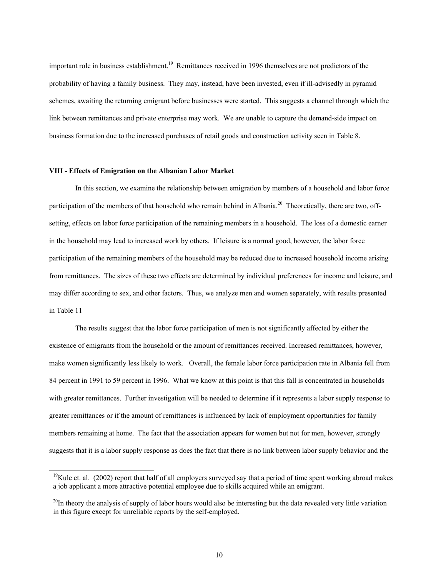important role in business establishment.<sup>19</sup> Remittances received in 1996 themselves are not predictors of the probability of having a family business. They may, instead, have been invested, even if ill-advisedly in pyramid schemes, awaiting the returning emigrant before businesses were started. This suggests a channel through which the link between remittances and private enterprise may work. We are unable to capture the demand-side impact on business formation due to the increased purchases of retail goods and construction activity seen in Table 8.

#### **VIII - Effects of Emigration on the Albanian Labor Market**

 $\overline{\phantom{a}}$ 

 In this section, we examine the relationship between emigration by members of a household and labor force participation of the members of that household who remain behind in Albania.<sup>20</sup> Theoretically, there are two, offsetting, effects on labor force participation of the remaining members in a household. The loss of a domestic earner in the household may lead to increased work by others. If leisure is a normal good, however, the labor force participation of the remaining members of the household may be reduced due to increased household income arising from remittances. The sizes of these two effects are determined by individual preferences for income and leisure, and may differ according to sex, and other factors. Thus, we analyze men and women separately, with results presented in Table 11

 The results suggest that the labor force participation of men is not significantly affected by either the existence of emigrants from the household or the amount of remittances received. Increased remittances, however, make women significantly less likely to work. Overall, the female labor force participation rate in Albania fell from 84 percent in 1991 to 59 percent in 1996. What we know at this point is that this fall is concentrated in households with greater remittances. Further investigation will be needed to determine if it represents a labor supply response to greater remittances or if the amount of remittances is influenced by lack of employment opportunities for family members remaining at home. The fact that the association appears for women but not for men, however, strongly suggests that it is a labor supply response as does the fact that there is no link between labor supply behavior and the

 $19$ Kule et. al. (2002) report that half of all employers surveyed say that a period of time spent working abroad makes a job applicant a more attractive potential employee due to skills acquired while an emigrant.

 $^{20}$ In theory the analysis of supply of labor hours would also be interesting but the data revealed very little variation in this figure except for unreliable reports by the self-employed.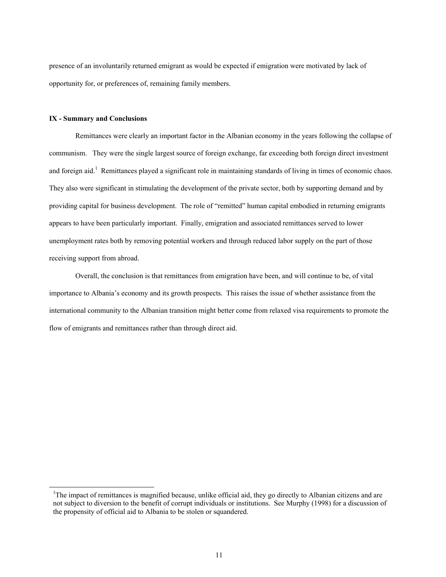presence of an involuntarily returned emigrant as would be expected if emigration were motivated by lack of opportunity for, or preferences of, remaining family members.

## **IX - Summary and Conclusions**

-

 Remittances were clearly an important factor in the Albanian economy in the years following the collapse of communism. They were the single largest source of foreign exchange, far exceeding both foreign direct investment and foreign aid.<sup>1</sup> Remittances played a significant role in maintaining standards of living in times of economic chaos. They also were significant in stimulating the development of the private sector, both by supporting demand and by providing capital for business development. The role of "remitted" human capital embodied in returning emigrants appears to have been particularly important. Finally, emigration and associated remittances served to lower unemployment rates both by removing potential workers and through reduced labor supply on the part of those receiving support from abroad.

 Overall, the conclusion is that remittances from emigration have been, and will continue to be, of vital importance to Albania's economy and its growth prospects. This raises the issue of whether assistance from the international community to the Albanian transition might better come from relaxed visa requirements to promote the flow of emigrants and remittances rather than through direct aid.

<sup>&</sup>lt;sup>1</sup>The impact of remittances is magnified because, unlike official aid, they go directly to Albanian citizens and are not subject to diversion to the benefit of corrupt individuals or institutions. See Murphy (1998) for a discussion of the propensity of official aid to Albania to be stolen or squandered.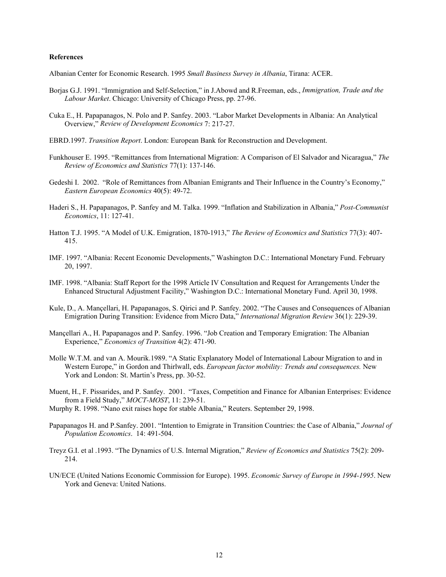#### **References**

Albanian Center for Economic Research. 1995 *Small Business Survey in Albania*, Tirana: ACER.

- Borjas G.J. 1991. "Immigration and Self-Selection," in J.Abowd and R.Freeman, eds., *Immigration, Trade and the Labour Market*. Chicago: University of Chicago Press, pp. 27-96.
- Cuka E., H. Papapanagos, N. Polo and P. Sanfey. 2003. "Labor Market Developments in Albania: An Analytical Overview," *Review of Development Economics* 7: 217-27.
- EBRD.1997. *Transition Report*. London: European Bank for Reconstruction and Development.
- Funkhouser E. 1995. "Remittances from International Migration: A Comparison of El Salvador and Nicaragua," *The Review of Economics and Statistics* 77(1): 137-146.
- Gedeshi I. 2002. "Role of Remittances from Albanian Emigrants and Their Influence in the Country's Economy," *Eastern European Economics* 40(5): 49-72.
- Haderi S., H. Papapanagos, P. Sanfey and M. Talka. 1999. "Inflation and Stabilization in Albania," *Post-Communist Economics*, 11: 127-41.
- Hatton T.J. 1995. "A Model of U.K. Emigration, 1870-1913," *The Review of Economics and Statistics* 77(3): 407- 415.
- IMF. 1997. "Albania: Recent Economic Developments," Washington D.C.: International Monetary Fund. February 20, 1997.
- IMF. 1998. "Albania: Staff Report for the 1998 Article IV Consultation and Request for Arrangements Under the Enhanced Structural Adjustment Facility," Washington D.C.: International Monetary Fund. April 30, 1998.
- Kule, D., A. Mançellari, H. Papapanagos, S. Qirici and P. Sanfey. 2002. "The Causes and Consequences of Albanian Emigration During Transition: Evidence from Micro Data," *International Migration Review* 36(1): 229-39.
- Mançellari A., H. Papapanagos and P. Sanfey. 1996. "Job Creation and Temporary Emigration: The Albanian Experience," *Economics of Transition* 4(2): 471-90.
- Molle W.T.M. and van A. Mourik.1989. "A Static Explanatory Model of International Labour Migration to and in Western Europe," in Gordon and Thirlwall, eds. *European factor mobility: Trends and consequences.* New York and London: St. Martin's Press, pp. 30-52.
- Muent, H., F. Pissarides, and P. Sanfey. 2001. "Taxes, Competition and Finance for Albanian Enterprises: Evidence from a Field Study," *MOCT-MOST*, 11: 239-51.
- Murphy R. 1998. "Nano exit raises hope for stable Albania," Reuters. September 29, 1998.
- Papapanagos H. and P.Sanfey. 2001. "Intention to Emigrate in Transition Countries: the Case of Albania," *Journal of Population Economics*. 14: 491-504.
- Treyz G.I. et al .1993. "The Dynamics of U.S. Internal Migration," *Review of Economics and Statistics* 75(2): 209- 214.
- UN/ECE (United Nations Economic Commission for Europe). 1995. *Economic Survey of Europe in 1994-1995*. New York and Geneva: United Nations.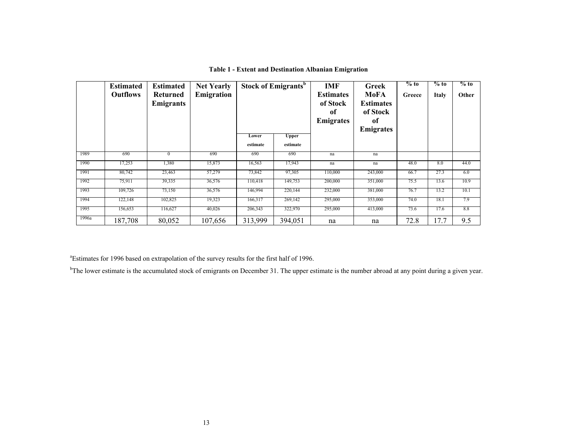|       | <b>Estimated</b><br><b>Outflows</b> | <b>Estimated</b><br>Returned<br>Emigrants | <b>Net Yearly</b><br>Emigration |                   | Stock of Emigrants <sup>b</sup> | <b>IMF</b><br><b>Estimates</b><br>of Stock<br>of<br><b>Emigrates</b> | <b>Greek</b><br>MoFA<br><b>Estimates</b><br>of Stock<br>0f<br><b>Emigrates</b> | $%$ to<br>Greece | $%$ to<br><b>Italy</b> | $%$ to<br>Other |
|-------|-------------------------------------|-------------------------------------------|---------------------------------|-------------------|---------------------------------|----------------------------------------------------------------------|--------------------------------------------------------------------------------|------------------|------------------------|-----------------|
|       |                                     |                                           |                                 | Lower<br>estimate | <b>Upper</b><br>estimate        |                                                                      |                                                                                |                  |                        |                 |
| 1989  | 690                                 | $\Omega$                                  | 690                             | 690               | 690                             | na                                                                   | na                                                                             |                  |                        |                 |
| 1990  | 17,253                              | 1,380                                     | 15,873                          | 16,563            | 17,943                          | na                                                                   | na                                                                             | 48.0             | 8.0                    | 44.0            |
| 1991  | 80,742                              | 23,463                                    | 57,279                          | 73,842            | 97,305                          | 110,000                                                              | 243,000                                                                        | 66.7             | 27.3                   | 6.0             |
| 1992  | 75,911                              | 39,335                                    | 36,576                          | 110,418           | 149,753                         | 200,000                                                              | 351,000                                                                        | 75.5             | 13.6                   | 10.9            |
| 1993  | 109,726                             | 73,150                                    | 36,576                          | 146,994           | 220,144                         | 232,000                                                              | 381,000                                                                        | 76.7             | 13.2                   | 10.1            |
| 1994  | 122,148                             | 102,825                                   | 19,323                          | 166,317           | 269,142                         | 295,000                                                              | 353,000                                                                        | 74.0             | 18.1                   | 7.9             |
| 1995  | 156,653                             | 116,627                                   | 40,026                          | 206,343           | 322,970                         | 295,000                                                              | 413,000                                                                        | 73.6             | 17.6                   | 8.8             |
| 1996a | 187,708                             | 80,052                                    | 107,656                         | 313,999           | 394,051                         | na                                                                   | na                                                                             | 72.8             | 17.7                   | 9.5             |

**Table 1 - Extent and Destination Albanian Emigration**

<sup>a</sup>Estimates for 1996 based on extrapolation of the survey results for the first half of 1996.

<sup>b</sup>The lower estimate is the accumulated stock of emigrants on December 31. The upper estimate is the number abroad at any point during a given year.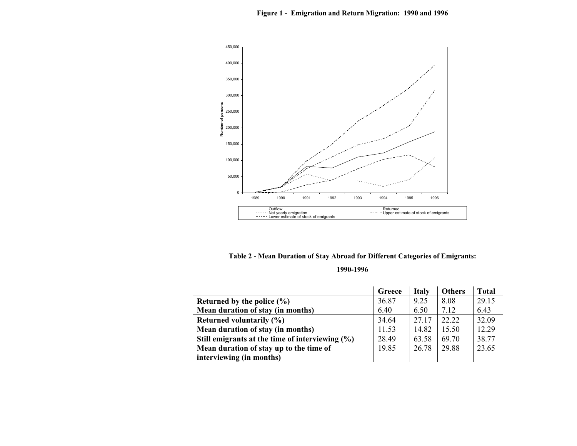

**Table 2 - Mean Duration of Stay Abroad for Different Categories of Emigrants:** 

#### **1990-1996**

|                                                    | Greece | <b>Italy</b> | <b>Others</b> | <b>Total</b> |
|----------------------------------------------------|--------|--------------|---------------|--------------|
| Returned by the police $(\% )$                     | 36.87  | 9.25         | 8.08          | 29.15        |
| Mean duration of stay (in months)                  | 6.40   | 6.50         | 7.12          | 6.43         |
| <b>Returned voluntarily (%)</b>                    | 34.64  | 27 17        | 22.22         | 32.09        |
| Mean duration of stay (in months)                  | 11.53  | 14.82        | 15.50         | 12.29        |
| Still emigrants at the time of interviewing $(\%)$ | 28.49  | 63.58        | 69.70         | 38.77        |
| Mean duration of stay up to the time of            | 19.85  | 26.78        | 29.88         | 23.65        |
| interviewing (in months)                           |        |              |               |              |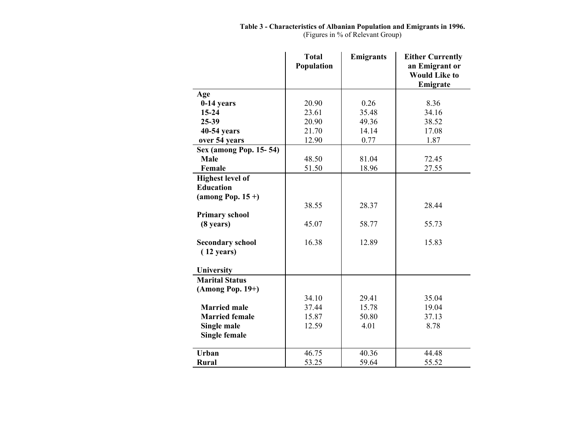(Figures in % of Relevant Group)

|                                                 | <b>Total</b> | <b>Emigrants</b> | <b>Either Currently</b>                            |
|-------------------------------------------------|--------------|------------------|----------------------------------------------------|
|                                                 | Population   |                  | an Emigrant or<br><b>Would Like to</b><br>Emigrate |
| Age                                             |              |                  |                                                    |
| $0-14$ years                                    | 20.90        | 0.26             | 8.36                                               |
| $15 - 24$                                       | 23.61        | 35.48            | 34.16                                              |
| 25-39                                           | 20.90        | 49.36            | 38.52                                              |
| 40-54 years                                     | 21.70        | 14.14            | 17.08                                              |
| over 54 years                                   | 12.90        | 0.77             | 1.87                                               |
| <b>Sex (among Pop. 15-54)</b>                   |              |                  |                                                    |
| Male                                            | 48.50        | 81.04            | 72.45                                              |
| Female                                          | 51.50        | 18.96            | 27.55                                              |
| <b>Highest level of</b>                         |              |                  |                                                    |
| <b>Education</b>                                |              |                  |                                                    |
| (among Pop. $15 +$ )                            |              |                  |                                                    |
|                                                 | 38.55        | 28.37            | 28.44                                              |
| <b>Primary school</b>                           |              |                  |                                                    |
| $(8 \text{ years})$                             | 45.07        | 58.77            | 55.73                                              |
|                                                 |              |                  |                                                    |
| <b>Secondary school</b><br>$(12 \text{ years})$ | 16.38        | 12.89            | 15.83                                              |
| University                                      |              |                  |                                                    |
| <b>Marital Status</b>                           |              |                  |                                                    |
| $(A$ mong Pop. 19+)                             |              |                  |                                                    |
|                                                 | 34.10        | 29.41            | 35.04                                              |
| <b>Married male</b>                             | 37.44        | 15.78            | 19.04                                              |
| <b>Married female</b>                           | 15.87        | 50.80            | 37.13                                              |
| Single male                                     | 12.59        | 4.01             | 8.78                                               |
| <b>Single female</b>                            |              |                  |                                                    |
| Urban                                           | 46.75        | 40.36            | 44.48                                              |
| <b>Rural</b>                                    | 53.25        | 59.64            | 55.52                                              |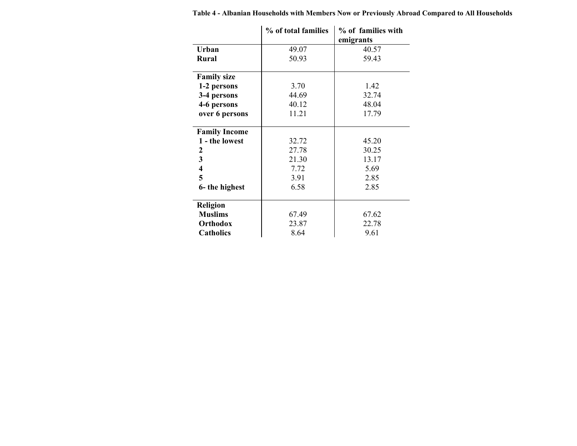|                      | % of total families | % of families with |
|----------------------|---------------------|--------------------|
|                      |                     | emigrants          |
| Urban                | 49.07               | 40.57              |
| <b>Rural</b>         | 50.93               | 59.43              |
| <b>Family size</b>   |                     |                    |
| 1-2 persons          | 3.70                | 1.42               |
| 3-4 persons          | 44.69               | 32.74              |
| 4-6 persons          | 40.12               | 48.04              |
| over 6 persons       | 11.21               | 17.79              |
| <b>Family Income</b> |                     |                    |
| 1 - the lowest       | 32.72               | 45.20              |
| 2                    | 27.78               | 30.25              |
| 3                    | 21.30               | 13.17              |
| 4                    | 7.72                | 5.69               |
| 5                    | 3.91                | 2.85               |
| 6- the highest       | 6.58                | 2.85               |
| <b>Religion</b>      |                     |                    |
| <b>Muslims</b>       | 67.49               | 67.62              |
| Orthodox             | 23.87               | 22.78              |
| <b>Catholics</b>     | 8.64                | 9.61               |

**Table 4 - Albanian Households with Members Now or Previously Abroad Compared to All Households**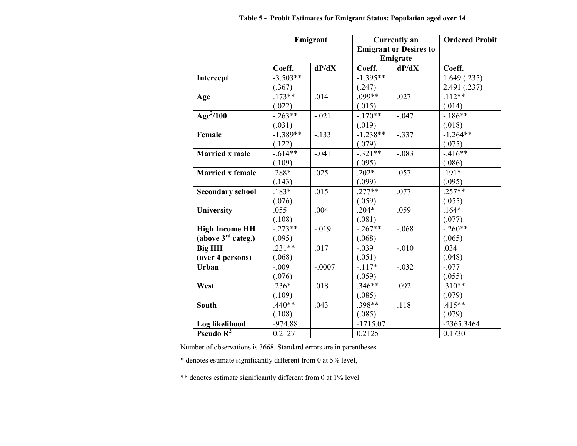|                                |            | Emigrant |            | <b>Currently an</b><br><b>Emigrant or Desires to</b><br>Emigrate | <b>Ordered Probit</b> |
|--------------------------------|------------|----------|------------|------------------------------------------------------------------|-----------------------|
|                                | Coeff.     | dP/dX    | Coeff.     | dP/dX                                                            | Coeff.                |
| Intercept                      | $-3.503**$ |          | $-1.395**$ |                                                                  | 1.649(.235)           |
|                                | (.367)     |          | (.247)     |                                                                  | 2.491 (.237)          |
| Age                            | $.173**$   | .014     | $.099**$   | .027                                                             | $.112**$              |
|                                | (.022)     |          | (.015)     |                                                                  | (.014)                |
| Age <sup>2</sup> /100          | $-.263**$  | $-.021$  | $-.170**$  | $-.047$                                                          | $-186**$              |
|                                | (.031)     |          | (.019)     |                                                                  | (.018)                |
| Female                         | $-1.389**$ | $-.133$  | $-1.238**$ | $-.337$                                                          | $-1.264**$            |
|                                | (.122)     |          | (.079)     |                                                                  | (.075)                |
| <b>Married x male</b>          | $-.614**$  | $-.041$  | $-.321**$  | $-.083$                                                          | $-416**$              |
|                                | (.109)     |          | (.095)     |                                                                  | (.086)                |
| <b>Married x female</b>        | .288*      | .025     | $.202*$    | .057                                                             | $.191*$               |
|                                | (.143)     |          | (.099)     |                                                                  | (.095)                |
| <b>Secondary school</b>        | $.183*$    | .015     | $.277**$   | .077                                                             | $.257**$              |
|                                | (.076)     |          | (.059)     |                                                                  | (.055)                |
| University                     | .055       | .004     | $.204*$    | .059                                                             | $.164*$               |
|                                | (.108)     |          | (.081)     |                                                                  | (.077)                |
| <b>High Income HH</b>          | $-.273**$  | $-.019$  | $-.267**$  | $-.068$                                                          | $-.260**$             |
| (above $3^{\text{rd}}$ categ.) | (.095)     |          | (.068)     |                                                                  | (.065)                |
| <b>Big HH</b>                  | $.231**$   | .017     | $-.039$    | $-.010$                                                          | .034                  |
| (over 4 persons)               | (.068)     |          | (.051)     |                                                                  | (.048)                |
| Urban                          | $-.009$    | $-.0007$ | $-117*$    | $-.032$                                                          | $-.077$               |
|                                | (.076)     |          | (.059)     |                                                                  | (.055)                |
| West                           | $.236*$    | .018     | $.346**$   | .092                                                             | $.310**$              |
|                                | (.109)     |          | (.085)     |                                                                  | (.079)                |
| <b>South</b>                   | $.440**$   | .043     | .398**     | .118                                                             | $.415**$              |
|                                | (.108)     |          | (.085)     |                                                                  | (.079)                |
| Log likelihood                 | $-974.88$  |          | $-1715.07$ |                                                                  | -2365.3464            |
| Pseudo $R^2$                   | 0.2127     |          | 0.2125     |                                                                  | 0.1730                |

Number of observations is 3668. Standard errors are in parentheses.

\* denotes estimate significantly different from 0 at 5% level,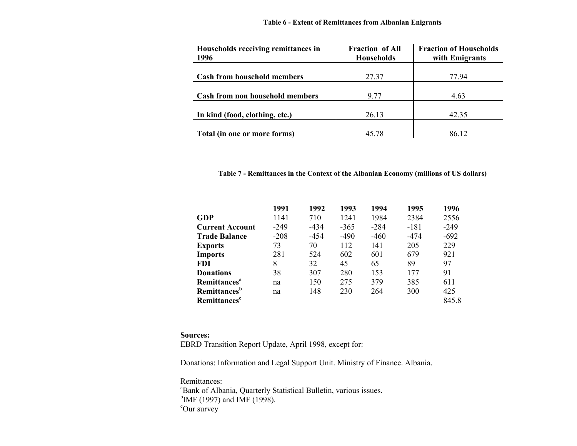## **Table 6 - Extent of Remittances from Albanian Enigrants**

| Households receiving remittances in<br>1996 | <b>Fraction of All</b><br><b>Households</b> | <b>Fraction of Households</b><br>with Emigrants |
|---------------------------------------------|---------------------------------------------|-------------------------------------------------|
| <b>Cash from household members</b>          | 27.37                                       | 77.94                                           |
| Cash from non household members             | 9.77                                        | 4.63                                            |
| In kind (food, clothing, etc.)              | 26.13                                       | 42.35                                           |
| Total (in one or more forms)                | 45.78                                       | 86.12                                           |

## **Table 7 - Remittances in the Context of the Albanian Economy (millions of US dollars)**

|                                 | 1991   | 1992   | 1993   | 1994   | 1995   | 1996   |
|---------------------------------|--------|--------|--------|--------|--------|--------|
| <b>GDP</b>                      | 1141   | 710    | 1241   | 1984   | 2384   | 2556   |
| <b>Current Account</b>          | $-249$ | $-434$ | $-365$ | $-284$ | $-181$ | $-249$ |
| <b>Trade Balance</b>            | $-208$ | -454   | $-490$ | $-460$ | -474   | $-692$ |
| <b>Exports</b>                  | 73     | 70     | 112    | 141    | 205    | 229    |
| <b>Imports</b>                  | 281    | 524    | 602    | 601    | 679    | 921    |
| <b>FDI</b>                      | 8      | 32     | 45     | 65     | 89     | 97     |
| <b>Donations</b>                | 38     | 307    | 280    | 153    | 177    | 91     |
| Remittances <sup>a</sup>        | na     | 150    | 275    | 379    | 385    | 611    |
| <b>Remittances</b> <sup>b</sup> | na     | 148    | 230    | 264    | 300    | 425    |
| <b>Remittances</b> <sup>c</sup> |        |        |        |        |        | 845.8  |

#### **Sources:**

EBRD Transition Report Update, April 1998, except for:

Donations: Information and Legal Support Unit. Ministry of Finance. Albania.

Remittances: <sup>a</sup>Bank of Albania, Quarterly Statistical Bulletin, various issues.  $^{b}$ IMF (1997) and IMF (1998). cOur survey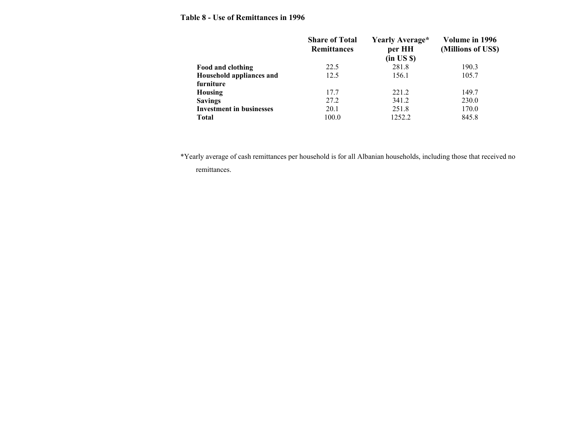## **Table 8 - Use of Remittances in 1996**

|                                 | <b>Share of Total</b><br><b>Remittances</b> | Yearly Average*<br>per HH<br>(in US \$) | Volume in 1996<br>(Millions of US\$) |
|---------------------------------|---------------------------------------------|-----------------------------------------|--------------------------------------|
| Food and clothing               | 22.5                                        | 281.8                                   | 190.3                                |
| Household appliances and        | 12.5                                        | 156.1                                   | 105.7                                |
| furniture                       |                                             |                                         |                                      |
| Housing                         | 17.7                                        | 221.2                                   | 149.7                                |
| <b>Savings</b>                  | 27.2                                        | 341.2                                   | 230.0                                |
| <b>Investment in businesses</b> | 20.1                                        | 251.8                                   | 170.0                                |
| <b>Total</b>                    | 100.0                                       | 1252.2                                  | 845.8                                |

\*Yearly average of cash remittances per household is for all Albanian households, including those that received no remittances.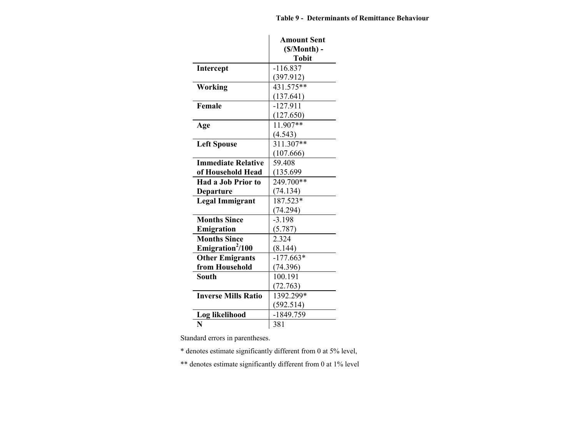|                              | <b>Amount Sent</b><br>$(S/Month)$ -<br><b>Tobit</b> |
|------------------------------|-----------------------------------------------------|
| <b>Intercept</b>             | $-116.837$                                          |
|                              | (397.912)                                           |
| Working                      | 431.575**                                           |
|                              | (137.641)                                           |
| Female                       | $-127.911$                                          |
|                              | (127.650)                                           |
| Age                          | 11.907**                                            |
|                              | (4.543)                                             |
| <b>Left Spouse</b>           | $311.307**$                                         |
|                              | (107.666)                                           |
| <b>Immediate Relative</b>    | 59.408                                              |
| of Household Head            | (135.699)                                           |
| Had a Job Prior to           | 249.700**                                           |
| <b>Departure</b>             | (74.134)                                            |
| <b>Legal Immigrant</b>       | 187.523*                                            |
|                              | (74.294)                                            |
| <b>Months Since</b>          | $-3.198$                                            |
| Emigration                   | (5.787)                                             |
| <b>Months Since</b>          | 2.324                                               |
| Emigration <sup>2</sup> /100 | (8.144)                                             |
| <b>Other Emigrants</b>       | $-177.663*$                                         |
| from Household               | (74.396)                                            |
| South                        | 100.191                                             |
|                              | (72.763)                                            |
| <b>Inverse Mills Ratio</b>   | 1392.299*                                           |
|                              | (592.514)                                           |
| Log likelihood               | $-1849.759$                                         |
| N                            | 381                                                 |

Standard errors in parentheses.

\* denotes estimate significantly different from 0 at 5% level,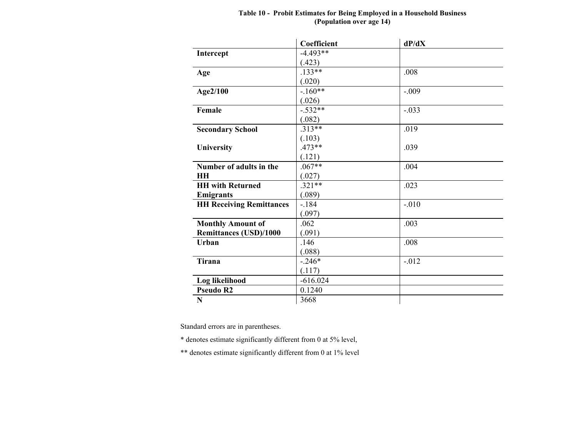|                                 | Coefficient | dP/dX   |
|---------------------------------|-------------|---------|
| Intercept                       | $-4.493**$  |         |
|                                 | (.423)      |         |
| Age                             | $.133**$    | .008    |
|                                 | (.020)      |         |
| Age2/100                        | $-.160**$   | $-.009$ |
|                                 | (.026)      |         |
| Female                          | $-.532**$   | $-.033$ |
|                                 | (.082)      |         |
| <b>Secondary School</b>         | $.313**$    | .019    |
|                                 | (.103)      |         |
| University                      | $.473**$    | .039    |
|                                 | (.121)      |         |
| Number of adults in the         | $.067**$    | .004    |
| <b>HH</b>                       | (.027)      |         |
| <b>HH</b> with Returned         | $.321**$    | .023    |
| <b>Emigrants</b>                | (.089)      |         |
| <b>HH Receiving Remittances</b> | $-184$      | $-.010$ |
|                                 | (.097)      |         |
| <b>Monthly Amount of</b>        | .062        | .003    |
| <b>Remittances (USD)/1000</b>   | (.091)      |         |
| Urban                           | .146        | .008    |
|                                 | (.088)      |         |
| Tirana                          | $-.246*$    | $-.012$ |
|                                 | (.117)      |         |
| Log likelihood                  | $-616.024$  |         |
| <b>Pseudo R2</b>                | 0.1240      |         |
| $\mathbf N$                     | 3668        |         |

#### **Table 10 - Probit Estimates for Being Employed in a Household Business (Population over age 14)**

Standard errors are in parentheses.

\* denotes estimate significantly different from 0 at 5% level,